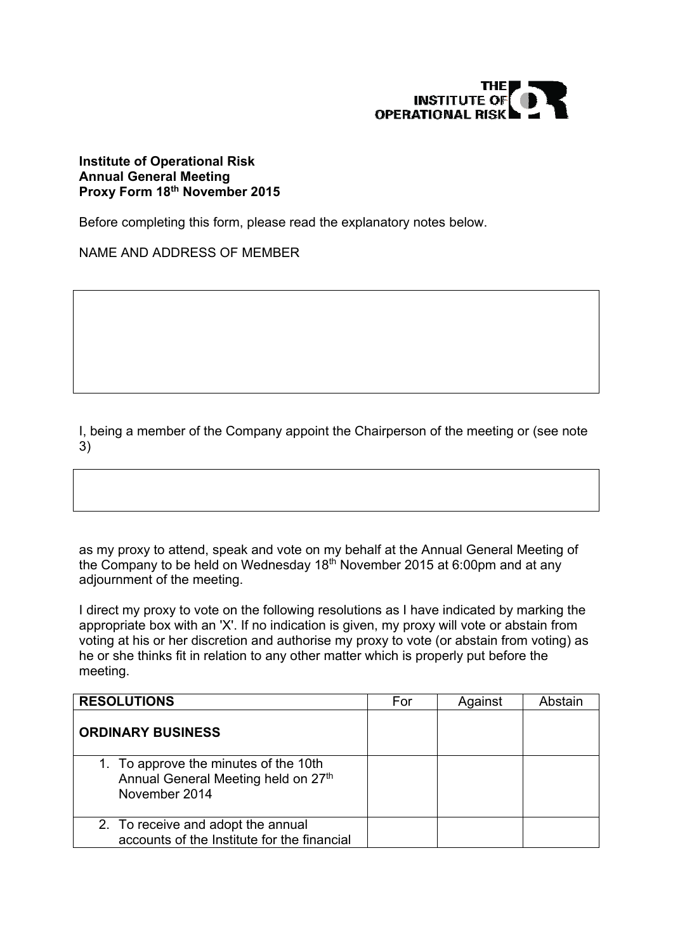

## **Institute of Operational Risk Annual General Meeting Proxy Form 18th November 2015**

Before completing this form, please read the explanatory notes below.

NAME AND ADDRESS OF MEMBER

I, being a member of the Company appoint the Chairperson of the meeting or (see note 3)

as my proxy to attend, speak and vote on my behalf at the Annual General Meeting of the Company to be held on Wednesday 18<sup>th</sup> November 2015 at 6:00pm and at any adjournment of the meeting.

I direct my proxy to vote on the following resolutions as I have indicated by marking the appropriate box with an 'X'. If no indication is given, my proxy will vote or abstain from voting at his or her discretion and authorise my proxy to vote (or abstain from voting) as he or she thinks fit in relation to any other matter which is properly put before the meeting.

| <b>RESOLUTIONS</b>                                                                            | For | Against | Abstain |
|-----------------------------------------------------------------------------------------------|-----|---------|---------|
| <b>ORDINARY BUSINESS</b>                                                                      |     |         |         |
| 1. To approve the minutes of the 10th<br>Annual General Meeting held on 27th<br>November 2014 |     |         |         |
| 2. To receive and adopt the annual<br>accounts of the Institute for the financial             |     |         |         |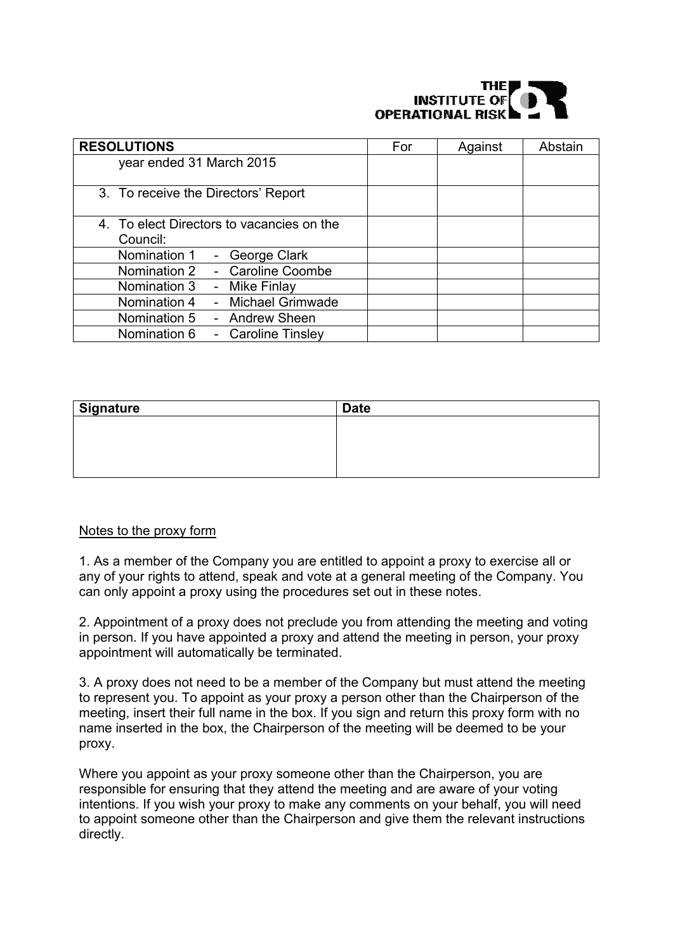## INSTITUTE OF **OPERATIONAL RISK**

| <b>RESOLUTIONS</b>                        | For | Against | Abstain |
|-------------------------------------------|-----|---------|---------|
| year ended 31 March 2015                  |     |         |         |
|                                           |     |         |         |
| 3. To receive the Directors' Report       |     |         |         |
| 4. To elect Directors to vacancies on the |     |         |         |
| Council:                                  |     |         |         |
| Nomination 1<br>- George Clark            |     |         |         |
| - Caroline Coombe<br>Nomination 2         |     |         |         |
| - Mike Finlay<br>Nomination 3             |     |         |         |
| - Michael Grimwade<br>Nomination 4        |     |         |         |
| Nomination 5<br>- Andrew Sheen            |     |         |         |
| Nomination 6<br>- Caroline Tinsley        |     |         |         |

| <b>Signature</b> | <b>Date</b> |
|------------------|-------------|
|                  |             |
|                  |             |
|                  |             |
|                  |             |

## Notes to the proxy form

1. As a member of the Company you are entitled to appoint a proxy to exercise all or any of your rights to attend, speak and vote at a general meeting of the Company. You can only appoint a proxy using the procedures set out in these notes.

2. Appointment of a proxy does not preclude you from attending the meeting and voting in person. If you have appointed a proxy and attend the meeting in person, your proxy appointment will automatically be terminated.

3. A proxy does not need to be a member of the Company but must attend the meeting to represent you. To appoint as your proxy a person other than the Chairperson of the meeting, insert their full name in the box. If you sign and return this proxy form with no name inserted in the box, the Chairperson of the meeting will be deemed to be your proxy.

Where you appoint as your proxy someone other than the Chairperson, you are responsible for ensuring that they attend the meeting and are aware of your voting intentions. If you wish your proxy to make any comments on your behalf, you will need to appoint someone other than the Chairperson and give them the relevant instructions directly.